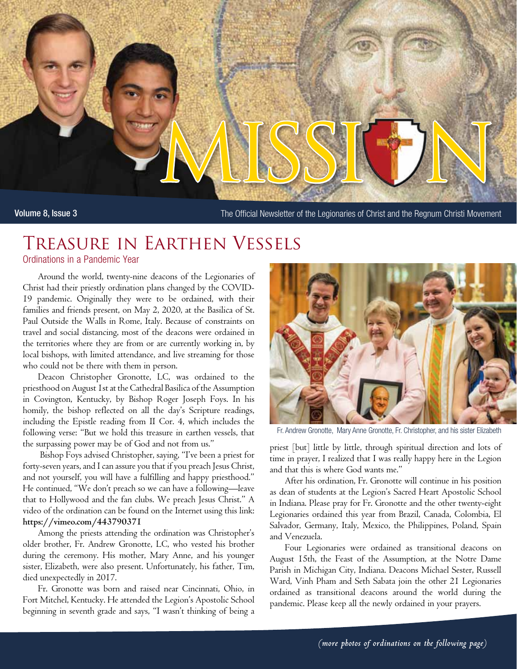

Volume 8, Issue 3 The Official Newsletter of the Legionaries of Christ and the Regnum Christi Movement

# Treasure in Earthen Vessels

Ordinations in a Pandemic Year

Around the world, twenty-nine deacons of the Legionaries of Christ had their priestly ordination plans changed by the COVID-19 pandemic. Originally they were to be ordained, with their families and friends present, on May 2, 2020, at the Basilica of St. Paul Outside the Walls in Rome, Italy. Because of constraints on travel and social distancing, most of the deacons were ordained in the territories where they are from or are currently working in, by local bishops, with limited attendance, and live streaming for those who could not be there with them in person.

Deacon Christopher Gronotte, LC, was ordained to the priesthood on August 1st at the Cathedral Basilica of the Assumption in Covington, Kentucky, by Bishop Roger Joseph Foys. In his homily, the bishop reflected on all the day's Scripture readings, including the Epistle reading from II Cor. 4, which includes the following verse: "But we hold this treasure in earthen vessels, that the surpassing power may be of God and not from us."

 Bishop Foys advised Christopher, saying, "I've been a priest for forty-seven years, and I can assure you that if you preach Jesus Christ, and not yourself, you will have a fulfilling and happy priesthood." He continued, "We don't preach so we can have a following—leave that to Hollywood and the fan clubs. We preach Jesus Christ." A video of the ordination can be found on the Internet using this link: **https://vimeo.com/443790371**

Among the priests attending the ordination was Christopher's older brother, Fr. Andrew Gronotte, LC, who vested his brother during the ceremony. His mother, Mary Anne, and his younger sister, Elizabeth, were also present. Unfortunately, his father, Tim, died unexpectedly in 2017.

Fr. Gronotte was born and raised near Cincinnati, Ohio, in Fort Mitchel, Kentucky. He attended the Legion's Apostolic School beginning in seventh grade and says, "I wasn't thinking of being a



Fr. Andrew Gronotte, Mary Anne Gronotte, Fr. Christopher, and his sister Elizabeth

priest [but] little by little, through spiritual direction and lots of time in prayer, I realized that I was really happy here in the Legion and that this is where God wants me."

After his ordination, Fr. Gronotte will continue in his position as dean of students at the Legion's Sacred Heart Apostolic School in Indiana. Please pray for Fr. Gronotte and the other twenty-eight Legionaries ordained this year from Brazil, Canada, Colombia, El Salvador, Germany, Italy, Mexico, the Philippines, Poland, Spain and Venezuela.

Four Legionaries were ordained as transitional deacons on August 15th, the Feast of the Assumption, at the Notre Dame Parish in Michigan City, Indiana. Deacons Michael Sester, Russell Ward, Vinh Pham and Seth Sabata join the other 21 Legionaries ordained as transitional deacons around the world during the pandemic. Please keep all the newly ordained in your prayers.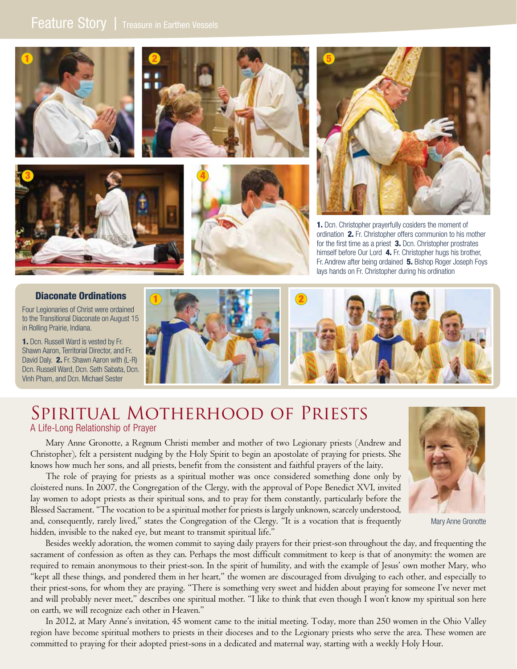









1. Dcn. Christopher prayerfully cosiders the moment of ordination 2. Fr. Christopher offers communion to his mother for the first time as a priest 3. Dcn. Christopher prostrates himself before Our Lord 4. Fr. Christopher hugs his brother, Fr. Andrew after being ordained 5. Bishop Roger Joseph Foys lays hands on Fr. Christopher during his ordination

### Diaconate Ordinations

Four Legionaries of Christ were ordained to the Transitional Diaconate on August 15 in Rolling Prairie, Indiana.

1. Dcn. Russell Ward is vested by Fr. Shawn Aaron, Territorial Director, and Fr. David Daly. **2.** Fr. Shawn Aaron with (L-R) Dcn. Russell Ward, Dcn. Seth Sabata, Dcn. Vinh Pham, and Dcn. Michael Sester



## Spiritual Motherhood of Priests A Life-Long Relationship of Prayer

Mary Anne Gronotte, a Regnum Christi member and mother of two Legionary priests (Andrew and Christopher), felt a persistent nudging by the Holy Spirit to begin an apostolate of praying for priests. She knows how much her sons, and all priests, benefit from the consistent and faithful prayers of the laity.

The role of praying for priests as a spiritual mother was once considered something done only by cloistered nuns. In 2007, the Congregation of the Clergy, with the approval of Pope Benedict XVI, invited lay women to adopt priests as their spiritual sons, and to pray for them constantly, particularly before the Blessed Sacrament. "The vocation to be a spiritual mother for priests is largely unknown, scarcely understood, and, consequently, rarely lived," states the Congregation of the Clergy. "It is a vocation that is frequently hidden, invisible to the naked eye, but meant to transmit spiritual life."



In 2012, at Mary Anne's invitation, 45 woment came to the initial meeting. Today, more than 250 women in the Ohio Valley region have become spiritual mothers to priests in their dioceses and to the Legionary priests who serve the area. These women are committed to praying for their adopted priest-sons in a dedicated and maternal way, starting with a weekly Holy Hour.



Mary Anne Gronotte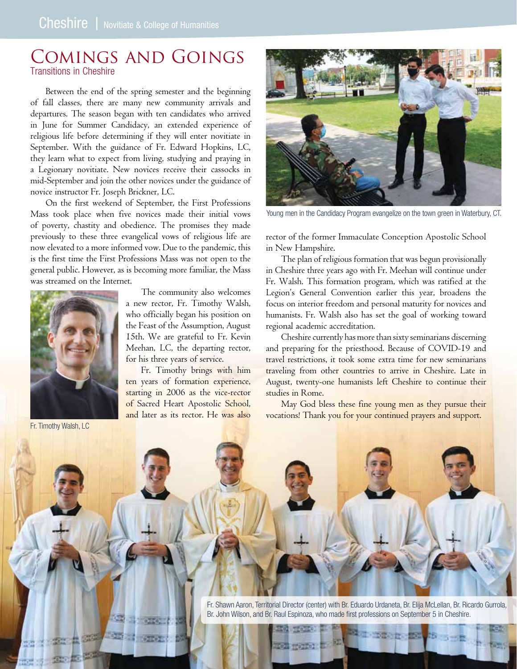## Comings and Goings Transitions in Cheshire

Between the end of the spring semester and the beginning of fall classes, there are many new community arrivals and departures. The season began with ten candidates who arrived in June for Summer Candidacy, an extended experience of religious life before determining if they will enter novitiate in September. With the guidance of Fr. Edward Hopkins, LC, they learn what to expect from living, studying and praying in a Legionary novitiate. New novices receive their cassocks in mid-September and join the other novices under the guidance of novice instructor Fr. Joseph Brickner, LC.

On the first weekend of September, the First Professions Mass took place when five novices made their initial vows of poverty, chastity and obedience. The promises they made previously to these three evangelical vows of religious life are now elevated to a more informed vow. Due to the pandemic, this is the first time the First Professions Mass was not open to the general public. However, as is becoming more familiar, the Mass was streamed on the Internet.



The community also welcomes a new rector, Fr. Timothy Walsh, who officially began his position on the Feast of the Assumption, August 15th. We are grateful to Fr. Kevin Meehan, LC, the departing rector, for his three years of service.

Fr. Timothy brings with him ten years of formation experience, starting in 2006 as the vice-rector of Sacred Heart Apostolic School, and later as its rector. He was also

Fr. Timothy Walsh, LC



Young men in the Candidacy Program evangelize on the town green in Waterbury, CT.

rector of the former Immaculate Conception Apostolic School in New Hampshire.

The plan of religious formation that was begun provisionally in Cheshire three years ago with Fr. Meehan will continue under Fr. Walsh. This formation program, which was ratified at the Legion's General Convention earlier this year, broadens the focus on interior freedom and personal maturity for novices and humanists. Fr. Walsh also has set the goal of working toward regional academic accreditation.

Cheshire currently has more than sixty seminarians discerning and preparing for the priesthood. Because of COVID-19 and travel restrictions, it took some extra time for new seminarians traveling from other countries to arrive in Cheshire. Late in August, twenty-one humanists left Cheshire to continue their studies in Rome.

May God bless these fine young men as they pursue their vocations! Thank you for your continued prayers and support.

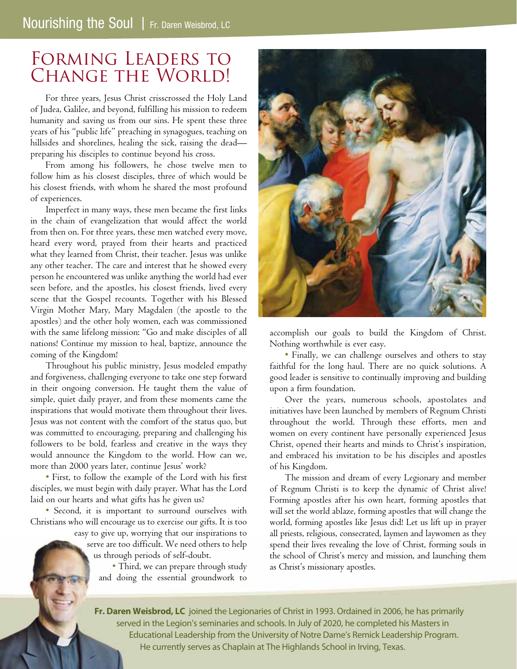## Forming Leaders to CHANGE THE WORLD!

For three years, Jesus Christ crisscrossed the Holy Land of Judea, Galilee, and beyond, fulfilling his mission to redeem humanity and saving us from our sins. He spent these three years of his "public life" preaching in synagogues, teaching on hillsides and shorelines, healing the sick, raising the dead preparing his disciples to continue beyond his cross.

From among his followers, he chose twelve men to follow him as his closest disciples, three of which would be his closest friends, with whom he shared the most profound of experiences.

Imperfect in many ways, these men became the first links in the chain of evangelization that would affect the world from then on. For three years, these men watched every move, heard every word, prayed from their hearts and practiced what they learned from Christ, their teacher. Jesus was unlike any other teacher. The care and interest that he showed every person he encountered was unlike anything the world had ever seen before, and the apostles, his closest friends, lived every scene that the Gospel recounts. Together with his Blessed Virgin Mother Mary, Mary Magdalen (the apostle to the apostles) and the other holy women, each was commissioned with the same lifelong mission: "Go and make disciples of all nations! Continue my mission to heal, baptize, announce the coming of the Kingdom!

Throughout his public ministry, Jesus modeled empathy and forgiveness, challenging everyone to take one step forward in their ongoing conversion. He taught them the value of simple, quiet daily prayer, and from these moments came the inspirations that would motivate them throughout their lives. Jesus was not content with the comfort of the status quo, but was committed to encouraging, preparing and challenging his followers to be bold, fearless and creative in the ways they would announce the Kingdom to the world. How can we, more than 2000 years later, continue Jesus' work?

• First, to follow the example of the Lord with his first disciples, we must begin with daily prayer. What has the Lord laid on our hearts and what gifts has he given us?

• Second, it is important to surround ourselves with Christians who will encourage us to exercise our gifts. It is too

> easy to give up, worrying that our inspirations to serve are too difficult. We need others to help us through periods of self-doubt.

> > • Third, we can prepare through study and doing the essential groundwork to



accomplish our goals to build the Kingdom of Christ. Nothing worthwhile is ever easy.

• Finally, we can challenge ourselves and others to stay faithful for the long haul. There are no quick solutions. A good leader is sensitive to continually improving and building upon a firm foundation.

Over the years, numerous schools, apostolates and initiatives have been launched by members of Regnum Christi throughout the world. Through these efforts, men and women on every continent have personally experienced Jesus Christ, opened their hearts and minds to Christ's inspiration, and embraced his invitation to be his disciples and apostles of his Kingdom.

The mission and dream of every Legionary and member of Regnum Christi is to keep the dynamic of Christ alive! Forming apostles after his own heart, forming apostles that will set the world ablaze, forming apostles that will change the world, forming apostles like Jesus did! Let us lift up in prayer all priests, religious, consecrated, laymen and laywomen as they spend their lives revealing the love of Christ, forming souls in the school of Christ's mercy and mission, and launching them as Christ's missionary apostles.

**Fr. Daren Weisbrod, LC** joined the Legionaries of Christ in 1993. Ordained in 2006, he has primarily served in the Legion's seminaries and schools. In July of 2020, he completed his Masters in Educational Leadership from the University of Notre Dame's Remick Leadership Program. He currently serves as Chaplain at The Highlands School in Irving, Texas.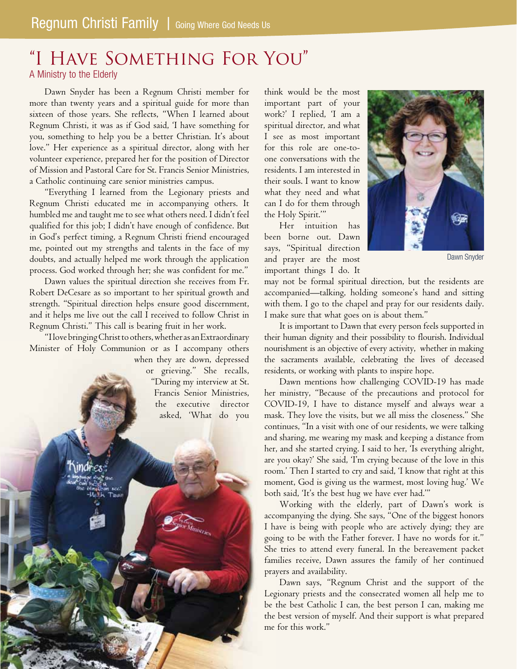## "I Have Something For You" A Ministry to the Elderly

Dawn Snyder has been a Regnum Christi member for more than twenty years and a spiritual guide for more than sixteen of those years. She reflects, "When I learned about Regnum Christi, it was as if God said, 'I have something for you, something to help you be a better Christian. It's about love." Her experience as a spiritual director, along with her volunteer experience, prepared her for the position of Director of Mission and Pastoral Care for St. Francis Senior Ministries, a Catholic continuing care senior ministries campus.

"Everything I learned from the Legionary priests and Regnum Christi educated me in accompanying others. It humbled me and taught me to see what others need. I didn't feel qualified for this job; I didn't have enough of confidence. But in God's perfect timing, a Regnum Christi friend encouraged me, pointed out my strengths and talents in the face of my doubts, and actually helped me work through the application process. God worked through her; she was confident for me."

Dawn values the spiritual direction she receives from Fr. Robert DeCesare as so important to her spiritual growth and strength. "Spiritual direction helps ensure good discernment, and it helps me live out the call I received to follow Christ in Regnum Christi." This call is bearing fruit in her work.

"I love bringing Christ to others, whether as an Extraordinary Minister of Holy Communion or as I accompany others

when they are down, depressed or grieving." She recalls, "During my interview at St. Francis Senior Ministries, the executive director asked, 'What do you

think would be the most important part of your work?' I replied, 'I am a spiritual director, and what I see as most important for this role are one-toone conversations with the residents. I am interested in their souls. I want to know what they need and what can I do for them through the Holy Spirit.'"

Her intuition has been borne out. Dawn says, "Spiritual direction and prayer are the most important things I do. It

Dawn Snyder

may not be formal spiritual direction, but the residents are accompanied—talking, holding someone's hand and sitting with them. I go to the chapel and pray for our residents daily. I make sure that what goes on is about them."

It is important to Dawn that every person feels supported in their human dignity and their possibility to flourish. Individual nourishment is an objective of every activity, whether in making the sacraments available, celebrating the lives of deceased residents, or working with plants to inspire hope.

Dawn mentions how challenging COVID-19 has made her ministry, "Because of the precautions and protocol for COVID-19, I have to distance myself and always wear a mask. They love the visits, but we all miss the closeness." She continues, "In a visit with one of our residents, we were talking and sharing, me wearing my mask and keeping a distance from her, and she started crying. I said to her, 'Is everything alright, are you okay?' She said, 'I'm crying because of the love in this room.' Then I started to cry and said, 'I know that right at this moment, God is giving us the warmest, most loving hug.' We both said, 'It's the best hug we have ever had.'"

Working with the elderly, part of Dawn's work is accompanying the dying. She says, "One of the biggest honors I have is being with people who are actively dying; they are going to be with the Father forever. I have no words for it." She tries to attend every funeral. In the bereavement packet families receive, Dawn assures the family of her continued prayers and availability.

Dawn says, "Regnum Christ and the support of the Legionary priests and the consecrated women all help me to be the best Catholic I can, the best person I can, making me the best version of myself. And their support is what prepared me for this work."

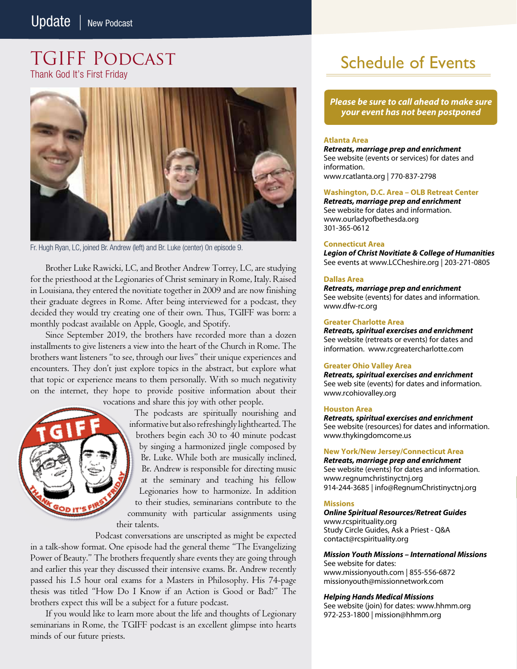### TGIFF Podcast Thank God It's First Friday



Fr. Hugh Ryan, LC, joined Br. Andrew (left) and Br. Luke (center) 0n episode 9.

Brother Luke Rawicki, LC, and Brother Andrew Torrey, LC, are studying for the priesthood at the Legionaries of Christ seminary in Rome, Italy. Raised in Louisiana, they entered the novitiate together in 2009 and are now finishing their graduate degrees in Rome. After being interviewed for a podcast, they decided they would try creating one of their own. Thus, TGIFF was born: a monthly podcast available on Apple, Google, and Spotify.

Since September 2019, the brothers have recorded more than a dozen installments to give listeners a view into the heart of the Church in Rome. The brothers want listeners "to see, through our lives" their unique experiences and encounters. They don't just explore topics in the abstract, but explore what that topic or experience means to them personally. With so much negativity on the internet, they hope to provide positive information about their

vocations and share this joy with other people.

The podcasts are spiritually nourishing and informative but also refreshingly lighthearted. The brothers begin each 30 to 40 minute podcast by singing a harmonized jingle composed by Br. Luke. While both are musically inclined, Br. Andrew is responsible for directing music at the seminary and teaching his fellow Legionaries how to harmonize. In addition to their studies, seminarians contribute to the community with particular assignments using their talents.

Podcast conversations are unscripted as might be expected in a talk-show format. One episode had the general theme "The Evangelizing Power of Beauty." The brothers frequently share events they are going through and earlier this year they discussed their intensive exams. Br. Andrew recently passed his 1.5 hour oral exams for a Masters in Philosophy. His 74-page thesis was titled "How Do I Know if an Action is Good or Bad?" The brothers expect this will be a subject for a future podcast.

If you would like to learn more about the life and thoughts of Legionary seminarians in Rome, the TGIFF podcast is an excellent glimpse into hearts minds of our future priests.

# Schedule of Events

*Please be sure to call ahead to make sure your event has not been postponed*

### **Atlanta Area**

*Retreats, marriage prep and enrichment* See website (events or services) for dates and information. www.rcatlanta.org | 770-837-2798

### **Washington, D.C. Area – OLB Retreat Center**

*Retreats, marriage prep and enrichment* See website for dates and information. www.ourladyofbethesda.org 301-365-0612

### **Connecticut Area**

*Legion of Christ Novitiate & College of Humanities* See events at www.LCCheshire.org | 203-271-0805

### **Dallas Area**

*Retreats, marriage prep and enrichment* See website (events) for dates and information. www.dfw-rc.org

### **Greater Charlotte Area**

*Retreats, spiritual exercises and enrichment* See website (retreats or events) for dates and information. www.rcgreatercharlotte.com

### **Greater Ohio Valley Area**

*Retreats, spiritual exercises and enrichment* See web site (events) for dates and information. www.rcohiovalley.org

### **Houston Area**

*Retreats, spiritual exercises and enrichment* See website (resources) for dates and information. www.thykingdomcome.us

### **New York/New Jersey/Connecticut Area**

*Retreats, marriage prep and enrichment* See website (events) for dates and information. www.regnumchristinyctnj.org 914-244-3685 | info@RegnumChristinyctnj.org

### **Missions**

*Online Spiritual Resources/Retreat Guides* www.rcspirituality.org Study Circle Guides, Ask a Priest - Q&A contact@rcspirituality.org

*Mission Youth Missions – International Missions* See website for dates: www.missionyouth.com | 855-556-6872 missionyouth@missionnetwork.com

### *Helping Hands Medical Missions*

See website (join) for dates: www.hhmm.org 972-253-1800 | mission@hhmm.org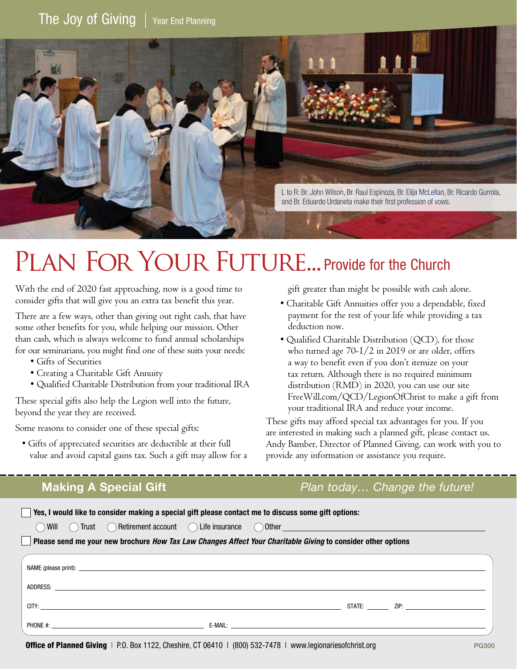

# PLAN FOR YOUR FUTURE... Provide for the Church

With the end of 2020 fast approaching, now is a good time to consider gifts that will give you an extra tax benefit this year.

There are a few ways, other than giving out right cash, that have some other benefits for you, while helping our mission. Other than cash, which is always welcome to fund annual scholarships for our seminarians, you might find one of these suits your needs:

- Gifts of Securities
- Creating a Charitable Gift Annuity
- Qualified Charitable Distribution from your traditional IRA

These special gifts also help the Legion well into the future, beyond the year they are received.

Some reasons to consider one of these special gifts:

• Gifts of appreciated securities are deductible at their full value and avoid capital gains tax. Such a gift may allow for a

gift greater than might be possible with cash alone.

- Charitable Gift Annuities offer you a dependable, fixed payment for the rest of your life while providing a tax deduction now.
- Qualified Charitable Distribution (QCD), for those who turned age 70-1/2 in 2019 or are older, offers a way to benefit even if you don't itemize on your tax return. Although there is no required minimum distribution (RMD) in 2020, you can use our site FreeWill.com/QCD/LegionOfChrist to make a gift from your traditional IRA and reduce your income.

These gifts may afford special tax advantages for you. If you are interested in making such a planned gift, please contact us. Andy Bamber, Director of Planned Giving, can work with you to provide any information or assistance you require.

## **Making A Special Gift** *Plan today… Change the future!*

| Yes, I would like to consider making a special gift please contact me to discuss some gift options:                                                                                                                                |  |  |
|------------------------------------------------------------------------------------------------------------------------------------------------------------------------------------------------------------------------------------|--|--|
| ◯ Will Q Trust Q Retirement account Q Life insurance Q Other <u>Communities and the service</u> of the material of the material of the material of the material of the material of the material of the material of the material of |  |  |
| <b>Please send me your new brochure How Tax Law Changes Affect Your Charitable Giving to consider other options</b>                                                                                                                |  |  |
|                                                                                                                                                                                                                                    |  |  |
|                                                                                                                                                                                                                                    |  |  |
|                                                                                                                                                                                                                                    |  |  |
|                                                                                                                                                                                                                                    |  |  |
|                                                                                                                                                                                                                                    |  |  |